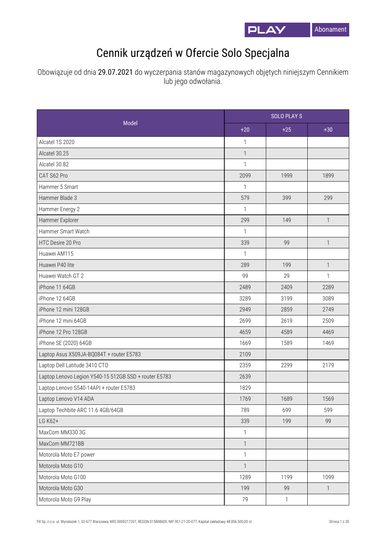

## Cennik urządzeń w Ofercie Solo Specjalna

Obowiązuje od dnia 29.07.2021 do wyczerpania stanów magazynowych objętych niniejszym Cennikiem lub jego odwołania.

| Model                                                 |                | <b>SOLO PLAYS</b> |                |  |
|-------------------------------------------------------|----------------|-------------------|----------------|--|
|                                                       | $+20$          | $+25$             | $+30$          |  |
| Alcatel 1S 2020                                       | $\mathbf{1}$   |                   |                |  |
| Alcatel 30.25                                         | $\mathbf{1}$   |                   |                |  |
| Alcatel 30.82                                         | $\mathbf{1}$   |                   |                |  |
| CAT S62 Pro                                           | 2099           | 1999              | 1899           |  |
| Hammer 5 Smart                                        | 1              |                   |                |  |
| Hammer Blade 3                                        | 579            | 399               | 299            |  |
| Hammer Energy 2                                       | $\mathbf{1}$   |                   |                |  |
| Hammer Explorer                                       | 299            | 149               | $\mathbf{1}$   |  |
| Hammer Smart Watch                                    | $\mathbf{1}$   |                   |                |  |
| HTC Desire 20 Pro                                     | 339            | 99                | $\mathbf{1}$   |  |
| Huawei AM115                                          | $\mathbf{1}$   |                   |                |  |
| Huawei P40 lite                                       | 289            | 199               | $\mathbf{1}$   |  |
| Huawei Watch GT 2                                     | 99             | 29                | $\mathbf{1}$   |  |
| iPhone 11 64GB                                        | 2489           | 2409              | 2289           |  |
| iPhone 12 64GB                                        | 3289           | 3199              | 3089           |  |
| iPhone 12 mini 128GB                                  | 2949           | 2859              | 2749           |  |
| iPhone 12 mini 64GB                                   | 2699           | 2619              | 2509           |  |
| iPhone 12 Pro 128GB                                   | 4659           | 4589              | 4469           |  |
| iPhone SE (2020) 64GB                                 | 1669           | 1589              | 1469           |  |
| Laptop Asus X509JA-BQ084T + router E5783              | 2109           |                   |                |  |
| Laptop Dell Latitude 3410 CTO                         | 2359           | 2299              | 2179           |  |
| Laptop Lenovo Legion Y540-15 512GB SSD + router E5783 | 2639           |                   |                |  |
| Laptop Lenovo S540-14API + router E5783               | 1829           |                   |                |  |
| Laptop Lenovo V14 ADA                                 | 1769           | 1689              | 1569           |  |
| Laptop Techbite ARC 11.6 4GB/64GB                     | 789            | 699               | 599            |  |
| LG K62+                                               | 339            | 199               | 99             |  |
| MaxCom MM330 3G                                       | $\mathbf{1}$   |                   |                |  |
| MaxCom MM721BB                                        | $\mathbf{1}$   |                   |                |  |
| Motorola Moto E7 power                                | $\mathbf{1}$   |                   |                |  |
| Motorola Moto G10                                     | $\overline{1}$ |                   |                |  |
| Motorola Moto G100                                    | 1289           | 1199              | 1099           |  |
| Motorola Moto G30                                     | 199            | 99                | $\overline{1}$ |  |
| Motorola Moto G9 Play                                 | 79             | $\mathbf{1}$      |                |  |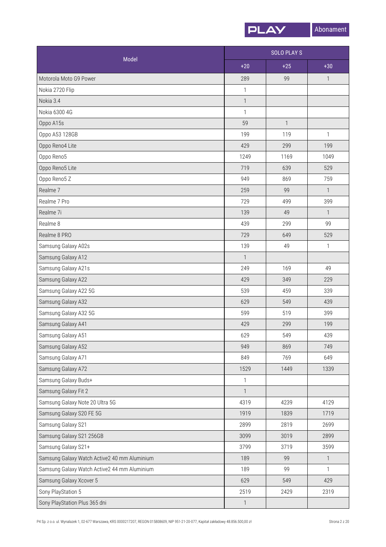

| Model                                        |                           | <b>SOLO PLAY S</b>       |              |  |
|----------------------------------------------|---------------------------|--------------------------|--------------|--|
|                                              | $+20$                     | $+25$                    | $+30$        |  |
| Motorola Moto G9 Power                       | 289                       | 99                       | $\mathbf{1}$ |  |
| Nokia 2720 Flip                              | 1                         |                          |              |  |
| Nokia 3.4                                    | $\mathbf{1}$              |                          |              |  |
| Nokia 6300 4G                                | $\mathbf{1}$              |                          |              |  |
| Oppo A15s                                    | 59                        | $\overline{\phantom{a}}$ |              |  |
| Oppo A53 128GB                               | 199                       | 119                      | $\mathbf{1}$ |  |
| Oppo Reno4 Lite                              | 429                       | 299                      | 199          |  |
| Oppo Reno5                                   | 1249                      | 1169                     | 1049         |  |
| Oppo Reno5 Lite                              | 719                       | 639                      | 529          |  |
| Oppo Reno5 Z                                 | 949                       | 869                      | 759          |  |
| Realme <sub>7</sub>                          | 259                       | 99                       | $\mathbf{1}$ |  |
| Realme 7 Pro                                 | 729                       | 499                      | 399          |  |
| Realme 7i                                    | 139                       | 49                       | $\mathbf{1}$ |  |
| Realme 8                                     | 439                       | 299                      | 99           |  |
| Realme 8 PRO                                 | 729                       | 649                      | 529          |  |
| Samsung Galaxy A02s                          | 139                       | 49                       | 1            |  |
| Samsung Galaxy A12                           | $\mathbf{1}$              |                          |              |  |
| Samsung Galaxy A21s                          | 249                       | 169                      | 49           |  |
| Samsung Galaxy A22                           | 429                       | 349                      | 229          |  |
| Samsung Galaxy A22 5G                        | 539                       | 459                      | 339          |  |
| Samsung Galaxy A32                           | 629                       | 549                      | 439          |  |
| Samsung Galaxy A32 5G                        | 599                       | 519                      | 399          |  |
| Samsung Galaxy A41                           | 429                       | 299                      | 199          |  |
| Samsung Galaxy A51                           | 629                       | 549                      | 439          |  |
| Samsung Galaxy A52                           | 949                       | 869                      | 749          |  |
| Samsung Galaxy A71                           | 849                       | 769                      | 649          |  |
| Samsung Galaxy A72                           | 1529                      | 1449                     | 1339         |  |
| Samsung Galaxy Buds+                         | $\ensuremath{\mathsf{1}}$ |                          |              |  |
| Samsung Galaxy Fit 2                         | $\mathbf{1}$              |                          |              |  |
| Samsung Galaxy Note 20 Ultra 5G              | 4319                      | 4239                     | 4129         |  |
| Samsung Galaxy S20 FE 5G                     | 1919                      | 1839                     | 1719         |  |
| Samsung Galaxy S21                           | 2899                      | 2819                     | 2699         |  |
| Samsung Galaxy S21 256GB                     | 3099                      | 3019                     | 2899         |  |
| Samsung Galaxy S21+                          | 3799                      | 3719                     | 3599         |  |
| Samsung Galaxy Watch Active2 40 mm Aluminium | 189                       | 99                       | $\mathbf{1}$ |  |
| Samsung Galaxy Watch Active2 44 mm Aluminium | 189                       | 99                       | $\mathbf{1}$ |  |
| Samsung Galaxy Xcover 5                      | 629                       | 549                      | 429          |  |
| Sony PlayStation 5                           | 2519                      | 2429                     | 2319         |  |
| Sony PlayStation Plus 365 dni                | $\mathbf{1}$              |                          |              |  |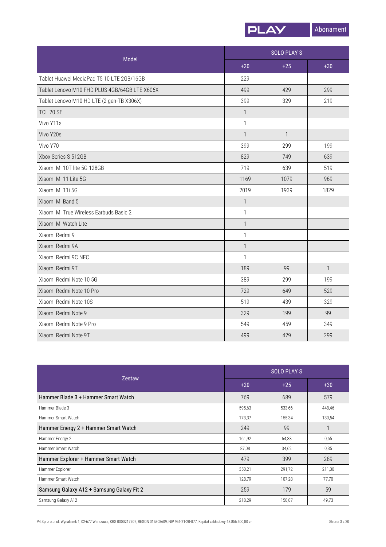

| Model                                         |              | <b>SOLO PLAY S</b> |              |  |
|-----------------------------------------------|--------------|--------------------|--------------|--|
|                                               | $+20$        | $+25$              | $+30$        |  |
| Tablet Huawei MediaPad T5 10 LTE 2GB/16GB     | 229          |                    |              |  |
| Tablet Lenovo M10 FHD PLUS 4GB/64GB LTE X606X | 499          | 429                | 299          |  |
| Tablet Lenovo M10 HD LTE (2 gen-TB X306X)     | 399          | 329                | 219          |  |
| <b>TCL 20 SE</b>                              | $\mathbf{1}$ |                    |              |  |
| Vivo Y11s                                     | $\mathbf{1}$ |                    |              |  |
| Vivo Y20s                                     | $\mathbf{1}$ | $\mathbf{1}$       |              |  |
| Vivo Y70                                      | 399          | 299                | 199          |  |
| Xbox Series S 512GB                           | 829          | 749                | 639          |  |
| Xiaomi Mi 10T lite 5G 128GB                   | 719          | 639                | 519          |  |
| Xiaomi Mi 11 Lite 5G                          | 1169         | 1079               | 969          |  |
| Xiaomi Mi 11i 5G                              | 2019         | 1939               | 1829         |  |
| Xiaomi Mi Band 5                              | $\mathbf{1}$ |                    |              |  |
| Xiaomi Mi True Wireless Earbuds Basic 2       | $\mathbf{1}$ |                    |              |  |
| Xiaomi Mi Watch Lite                          | $\mathbf{1}$ |                    |              |  |
| Xiaomi Redmi 9                                | $\mathbf{1}$ |                    |              |  |
| Xiaomi Redmi 9A                               | $\mathbf{1}$ |                    |              |  |
| Xiaomi Redmi 9C NFC                           | $\mathbf{1}$ |                    |              |  |
| Xiaomi Redmi 9T                               | 189          | 99                 | $\mathbf{1}$ |  |
| Xiaomi Redmi Note 10 5G                       | 389          | 299                | 199          |  |
| Xiaomi Redmi Note 10 Pro                      | 729          | 649                | 529          |  |
| Xiaomi Redmi Note 10S                         | 519          | 439                | 329          |  |
| Xiaomi Redmi Note 9                           | 329          | 199                | 99           |  |
| Xiaomi Redmi Note 9 Pro                       | 549          | 459                | 349          |  |
| Xiaomi Redmi Note 9T                          | 499          | 429                | 299          |  |

| <b>Zestaw</b>                             | <b>SOLO PLAYS</b> |        |        |
|-------------------------------------------|-------------------|--------|--------|
|                                           | $+20$             | $+25$  | $+30$  |
| Hammer Blade 3 + Hammer Smart Watch       | 769               | 689    | 579    |
| Hammer Blade 3                            | 595,63            | 533,66 | 448,46 |
| Hammer Smart Watch                        | 173,37            | 155,34 | 130,54 |
| Hammer Energy 2 + Hammer Smart Watch      | 249               | 99     |        |
| Hammer Energy 2                           | 161,92            | 64,38  | 0,65   |
| Hammer Smart Watch                        | 87,08             | 34,62  | 0,35   |
| Hammer Explorer + Hammer Smart Watch      | 479               | 399    | 289    |
| Hammer Explorer                           | 350,21            | 291,72 | 211,30 |
| Hammer Smart Watch                        | 128,79            | 107,28 | 77,70  |
| Samsung Galaxy A12 + Samsung Galaxy Fit 2 | 259               | 179    | 59     |
| Samsung Galaxy A12                        | 218,29            | 150,87 | 49,73  |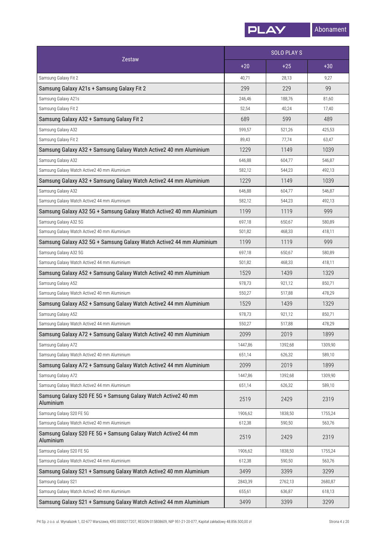

|                                                                            | <b>SOLO PLAYS</b> |         |         |
|----------------------------------------------------------------------------|-------------------|---------|---------|
| <b>Zestaw</b>                                                              | $+20$             | $+25$   | $+30$   |
| Samsung Galaxy Fit 2                                                       | 40,71             | 28,13   | 9,27    |
| Samsung Galaxy A21s + Samsung Galaxy Fit 2                                 | 299               | 229     | 99      |
| Samsung Galaxy A21s                                                        | 246,46            | 188,76  | 81,60   |
| Samsung Galaxy Fit 2                                                       | 52,54             | 40,24   | 17,40   |
| Samsung Galaxy A32 + Samsung Galaxy Fit 2                                  | 689               | 599     | 489     |
| Samsung Galaxy A32                                                         | 599,57            | 521,26  | 425,53  |
| Samsung Galaxy Fit 2                                                       | 89,43             | 77,74   | 63,47   |
| Samsung Galaxy A32 + Samsung Galaxy Watch Active2 40 mm Aluminium          | 1229              | 1149    | 1039    |
| Samsung Galaxy A32                                                         | 646,88            | 604,77  | 546,87  |
| Samsung Galaxy Watch Active2 40 mm Aluminium                               | 582,12            | 544,23  | 492,13  |
| Samsung Galaxy A32 + Samsung Galaxy Watch Active2 44 mm Aluminium          | 1229              | 1149    | 1039    |
| Samsung Galaxy A32                                                         | 646,88            | 604,77  | 546,87  |
| Samsung Galaxy Watch Active2 44 mm Aluminium                               | 582,12            | 544,23  | 492,13  |
| Samsung Galaxy A32 5G + Samsung Galaxy Watch Active2 40 mm Aluminium       | 1199              | 1119    | 999     |
| Samsung Galaxy A32 5G                                                      | 697,18            | 650,67  | 580,89  |
| Samsung Galaxy Watch Active2 40 mm Aluminium                               | 501,82            | 468,33  | 418,11  |
| Samsung Galaxy A32 5G + Samsung Galaxy Watch Active2 44 mm Aluminium       | 1199              | 1119    | 999     |
| Samsung Galaxy A32 5G                                                      | 697,18            | 650,67  | 580,89  |
| Samsung Galaxy Watch Active2 44 mm Aluminium                               | 501,82            | 468,33  | 418,11  |
| Samsung Galaxy A52 + Samsung Galaxy Watch Active2 40 mm Aluminium          | 1529              | 1439    | 1329    |
| Samsung Galaxy A52                                                         | 978,73            | 921,12  | 850,71  |
| Samsung Galaxy Watch Active2 40 mm Aluminium                               | 550,27            | 517,88  | 478,29  |
| Samsung Galaxy A52 + Samsung Galaxy Watch Active2 44 mm Aluminium          | 1529              | 1439    | 1329    |
| Samsung Galaxy A52                                                         | 978,73            | 921,12  | 850,71  |
| Samsung Galaxy Watch Active2 44 mm Aluminium                               | 550,27            | 517,88  | 478,29  |
| Samsung Galaxy A72 + Samsung Galaxy Watch Active2 40 mm Aluminium          | 2099              | 2019    | 1899    |
| Samsung Galaxy A72                                                         | 1447,86           | 1392,68 | 1309,90 |
| Samsung Galaxy Watch Active2 40 mm Aluminium                               | 651,14            | 626,32  | 589,10  |
| Samsung Galaxy A72 + Samsung Galaxy Watch Active2 44 mm Aluminium          | 2099              | 2019    | 1899    |
| Samsung Galaxy A72                                                         | 1447,86           | 1392,68 | 1309,90 |
| Samsung Galaxy Watch Active2 44 mm Aluminium                               | 651,14            | 626,32  | 589,10  |
| Samsung Galaxy S20 FE 5G + Samsung Galaxy Watch Active2 40 mm<br>Aluminium | 2519              | 2429    | 2319    |
| Samsung Galaxy S20 FE 5G                                                   | 1906,62           | 1838,50 | 1755,24 |
| Samsung Galaxy Watch Active2 40 mm Aluminium                               | 612,38            | 590,50  | 563,76  |
| Samsung Galaxy S20 FE 5G + Samsung Galaxy Watch Active2 44 mm<br>Aluminium | 2519              | 2429    | 2319    |
| Samsung Galaxy S20 FE 5G                                                   | 1906,62           | 1838,50 | 1755,24 |
| Samsung Galaxy Watch Active2 44 mm Aluminium                               | 612,38            | 590,50  | 563,76  |
| Samsung Galaxy S21 + Samsung Galaxy Watch Active2 40 mm Aluminium          | 3499              | 3399    | 3299    |
| Samsung Galaxy S21                                                         | 2843,39           | 2762,13 | 2680,87 |
| Samsung Galaxy Watch Active2 40 mm Aluminium                               | 655,61            | 636,87  | 618,13  |
| Samsung Galaxy S21 + Samsung Galaxy Watch Active2 44 mm Aluminium          | 3499              | 3399    | 3299    |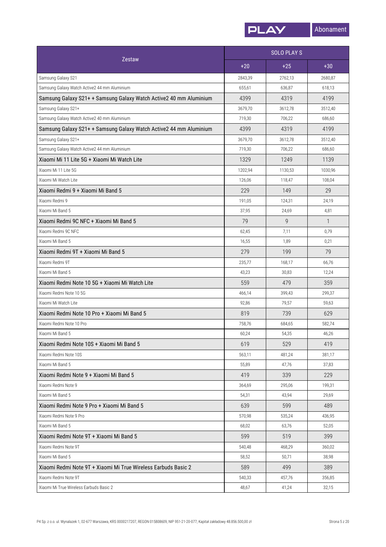

|                                                                    | <b>SOLO PLAYS</b> |         |         |
|--------------------------------------------------------------------|-------------------|---------|---------|
| <b>Zestaw</b>                                                      | $+20$             | $+25$   | $+30$   |
| Samsung Galaxy S21                                                 | 2843,39           | 2762,13 | 2680,87 |
| Samsung Galaxy Watch Active2 44 mm Aluminium                       | 655,61            | 636,87  | 618,13  |
| Samsung Galaxy S21+ + Samsung Galaxy Watch Active2 40 mm Aluminium | 4399              | 4319    | 4199    |
| Samsung Galaxy S21+                                                | 3679,70           | 3612,78 | 3512,40 |
| Samsung Galaxy Watch Active2 40 mm Aluminium                       | 719,30            | 706,22  | 686,60  |
| Samsung Galaxy S21+ + Samsung Galaxy Watch Active2 44 mm Aluminium | 4399              | 4319    | 4199    |
| Samsung Galaxy S21+                                                | 3679,70           | 3612,78 | 3512,40 |
| Samsung Galaxy Watch Active2 44 mm Aluminium                       | 719,30            | 706,22  | 686,60  |
| Xiaomi Mi 11 Lite 5G + Xiaomi Mi Watch Lite                        | 1329              | 1249    | 1139    |
| Xiaomi Mi 11 Lite 5G                                               | 1202,94           | 1130,53 | 1030,96 |
| Xiaomi Mi Watch Lite                                               | 126,06            | 118,47  | 108,04  |
| Xiaomi Redmi 9 + Xiaomi Mi Band 5                                  | 229               | 149     | 29      |
| Xiaomi Redmi 9                                                     | 191,05            | 124,31  | 24,19   |
| Xiaomi Mi Band 5                                                   | 37,95             | 24,69   | 4,81    |
| Xiaomi Redmi 9C NFC + Xiaomi Mi Band 5                             | 79                | 9       | 1       |
| Xiaomi Redmi 9C NFC                                                | 62,45             | 7,11    | 0,79    |
| Xiaomi Mi Band 5                                                   | 16,55             | 1,89    | 0,21    |
| Xiaomi Redmi 9T + Xiaomi Mi Band 5                                 | 279               | 199     | 79      |
| Xiaomi Redmi 9T                                                    | 235,77            | 168,17  | 66,76   |
| Xiaomi Mi Band 5                                                   | 43,23             | 30,83   | 12,24   |
| Xiaomi Redmi Note 10 5G + Xiaomi Mi Watch Lite                     | 559               | 479     | 359     |
| Xiaomi Redmi Note 10 5G                                            | 466,14            | 399,43  | 299,37  |
| Xiaomi Mi Watch Lite                                               | 92,86             | 79,57   | 59,63   |
| Xiaomi Redmi Note 10 Pro + Xiaomi Mi Band 5                        | 819               | 739     | 629     |
| Xiaomi Redmi Note 10 Pro                                           | 758,76            | 684,65  | 582,74  |
| Xiaomi Mi Band 5                                                   | 60,24             | 54,35   | 46,26   |
| Xiaomi Redmi Note 10S + Xiaomi Mi Band 5                           | 619               | 529     | 419     |
| Xiaomi Redmi Note 10S                                              | 563,11            | 481,24  | 381.17  |
| Xiaomi Mi Band 5                                                   | 55,89             | 47,76   | 37,83   |
| Xiaomi Redmi Note 9 + Xiaomi Mi Band 5                             | 419               | 339     | 229     |
| Xiaomi Redmi Note 9                                                | 364,69            | 295,06  | 199,31  |
| Xiaomi Mi Band 5                                                   | 54,31             | 43,94   | 29,69   |
| Xiaomi Redmi Note 9 Pro + Xiaomi Mi Band 5                         | 639               | 599     | 489     |
| Xiaomi Redmi Note 9 Pro                                            | 570,98            | 535,24  | 436,95  |
| Xiaomi Mi Band 5                                                   | 68,02             | 63,76   | 52,05   |
| Xiaomi Redmi Note 9T + Xiaomi Mi Band 5                            | 599               | 519     | 399     |
| Xiaomi Redmi Note 9T                                               | 540,48            | 468,29  | 360,02  |
| Xiaomi Mi Band 5                                                   | 58,52             | 50,71   | 38,98   |
| Xiaomi Redmi Note 9T + Xiaomi Mi True Wireless Earbuds Basic 2     | 589               | 499     | 389     |
| Xiaomi Redmi Note 9T                                               |                   |         |         |
|                                                                    | 540,33            | 457,76  | 356,85  |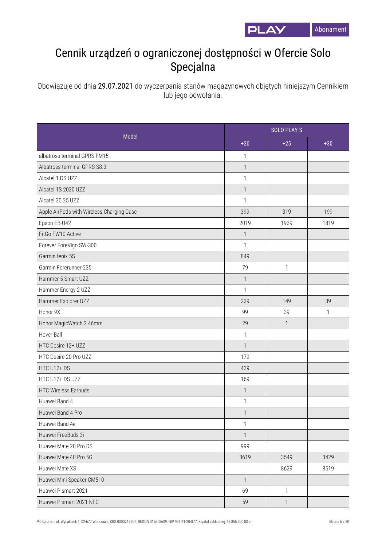

## Cennik urządzeń o ograniczonej dostępności w Ofercie Solo Specjalna

Obowiązuje od dnia 29.07.2021 do wyczerpania stanów magazynowych objętych niniejszym Cennikiem lub jego odwołania.

| Model                                     |                | <b>SOLO PLAYS</b> |       |  |
|-------------------------------------------|----------------|-------------------|-------|--|
|                                           | $+20$          | $+25$             | $+30$ |  |
| albatross terminal GPRS FM15              | $\mathbf{1}$   |                   |       |  |
| Albatross terminal GPRS S8.3              | $\mathbf{1}$   |                   |       |  |
| Alcatel 1 DS UZZ                          | $\mathbf{1}$   |                   |       |  |
| Alcatel 1S 2020 UZZ                       | $\mathbf{1}$   |                   |       |  |
| Alcatel 30.25 UZZ                         | $\mathbf{1}$   |                   |       |  |
| Apple AirPods with Wireless Charging Case | 399            | 319               | 199   |  |
| Epson EB-U42                              | 2019           | 1939              | 1819  |  |
| FitGo FW10 Active                         | $\mathbf{1}$   |                   |       |  |
| Forever ForeVigo SW-300                   | $\mathbf{1}$   |                   |       |  |
| Garmin fenix 5S                           | 849            |                   |       |  |
| Garmin Forerunner 235                     | 79             | $\mathbf{1}$      |       |  |
| Hammer 5 Smart UZZ                        | $\mathbf{1}$   |                   |       |  |
| Hammer Energy 2 UZZ                       | $\mathbf{1}$   |                   |       |  |
| Hammer Explorer UZZ                       | 229            | 149               | 39    |  |
| Honor 9X                                  | 99             | 39                | 1     |  |
| Honor MagicWatch 2 46mm                   | 29             | $\mathbf{1}$      |       |  |
| Hover Ball                                | $\mathbf{1}$   |                   |       |  |
| HTC Desire 12+ UZZ                        | $\mathbf{1}$   |                   |       |  |
| HTC Desire 20 Pro UZZ                     | 179            |                   |       |  |
| HTC U12+DS                                | 439            |                   |       |  |
| HTC U12+ DS UZZ                           | 169            |                   |       |  |
| <b>HTC Wireless Earbuds</b>               | $\mathbb{1}$   |                   |       |  |
| Huawei Band 4                             | $\mathbf{1}$   |                   |       |  |
| Huawei Band 4 Pro                         | $\mathbf{1}$   |                   |       |  |
| Huawei Band 4e                            | $\mathbf{1}$   |                   |       |  |
| Huawei FreeBuds 3i                        | $\mathbf{1}$   |                   |       |  |
| Huawei Mate 20 Pro DS                     | 999            |                   |       |  |
| Huawei Mate 40 Pro 5G                     | 3619           | 3549              | 3429  |  |
| Huawei Mate XS                            |                | 8629              | 8519  |  |
| Huawei Mini Speaker CM510                 | $\overline{1}$ |                   |       |  |
| Huawei P smart 2021                       | 69             | $\mathbf{1}$      |       |  |
| Huawei P smart 2021 NFC                   | 59             | $\overline{1}$    |       |  |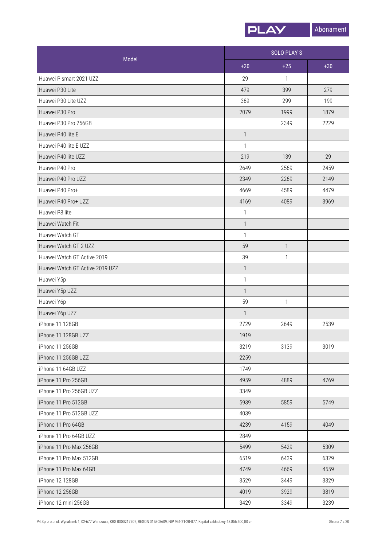

| Model                           | <b>SOLO PLAYS</b> |              |       |
|---------------------------------|-------------------|--------------|-------|
|                                 | $+20$             | $+25$        | $+30$ |
| Huawei P smart 2021 UZZ         | 29                | 1            |       |
| Huawei P30 Lite                 | 479               | 399          | 279   |
| Huawei P30 Lite UZZ             | 389               | 299          | 199   |
| Huawei P30 Pro                  | 2079              | 1999         | 1879  |
| Huawei P30 Pro 256GB            |                   | 2349         | 2229  |
| Huawei P40 lite E               | $\mathbf{1}$      |              |       |
| Huawei P40 lite E UZZ           | 1                 |              |       |
| Huawei P40 lite UZZ             | 219               | 139          | 29    |
| Huawei P40 Pro                  | 2649              | 2569         | 2459  |
| Huawei P40 Pro UZZ              | 2349              | 2269         | 2149  |
| Huawei P40 Pro+                 | 4669              | 4589         | 4479  |
| Huawei P40 Pro+ UZZ             | 4169              | 4089         | 3969  |
| Huawei P8 lite                  | $\mathbf{1}$      |              |       |
| Huawei Watch Fit                | $\mathbf{1}$      |              |       |
| Huawei Watch GT                 | $\mathbf{1}$      |              |       |
| Huawei Watch GT 2 UZZ           | 59                | $\mathbf{1}$ |       |
| Huawei Watch GT Active 2019     | 39                | 1            |       |
| Huawei Watch GT Active 2019 UZZ | $\mathbf{1}$      |              |       |
| Huawei Y5p                      | $\mathbf{1}$      |              |       |
| Huawei Y5p UZZ                  | $\mathbf{1}$      |              |       |
| Huawei Y6p                      | 59                | 1            |       |
| Huawei Y6p UZZ                  | $\mathbf{1}$      |              |       |
| iPhone 11 128GB                 | 2729              | 2649         | 2539  |
| iPhone 11 128GB UZZ             | 1919              |              |       |
| iPhone 11 256GB                 | 3219              | 3139         | 3019  |
| iPhone 11 256GB UZZ             | 2259              |              |       |
| iPhone 11 64GB UZZ              | 1749              |              |       |
| iPhone 11 Pro 256GB             | 4959              | 4889         | 4769  |
| iPhone 11 Pro 256GB UZZ         | 3349              |              |       |
| iPhone 11 Pro 512GB             | 5939              | 5859         | 5749  |
| iPhone 11 Pro 512GB UZZ         | 4039              |              |       |
| iPhone 11 Pro 64GB              | 4239              | 4159         | 4049  |
| iPhone 11 Pro 64GB UZZ          | 2849              |              |       |
| iPhone 11 Pro Max 256GB         | 5499              | 5429         | 5309  |
| iPhone 11 Pro Max 512GB         | 6519              | 6439         | 6329  |
| iPhone 11 Pro Max 64GB          | 4749              | 4669         | 4559  |
| iPhone 12 128GB                 | 3529              | 3449         | 3329  |
| iPhone 12 256GB                 | 4019              | 3929         | 3819  |
| iPhone 12 mini 256GB            | 3429              | 3349         | 3239  |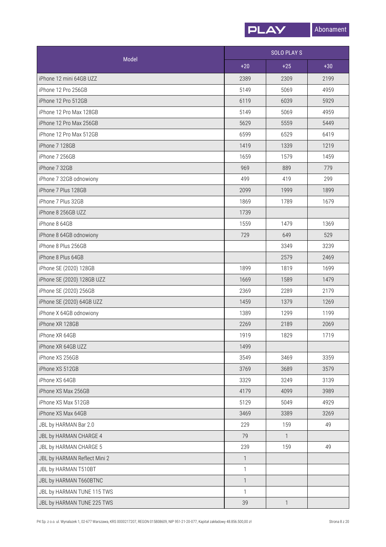

|                              | <b>SOLO PLAYS</b> |              |       |
|------------------------------|-------------------|--------------|-------|
| Model                        | $+20$             | $+25$        | $+30$ |
| iPhone 12 mini 64GB UZZ      | 2389              | 2309         | 2199  |
| iPhone 12 Pro 256GB          | 5149              | 5069         | 4959  |
| iPhone 12 Pro 512GB          | 6119              | 6039         | 5929  |
| iPhone 12 Pro Max 128GB      | 5149              | 5069         | 4959  |
| iPhone 12 Pro Max 256GB      | 5629              | 5559         | 5449  |
| iPhone 12 Pro Max 512GB      | 6599              | 6529         | 6419  |
| iPhone 7 128GB               | 1419              | 1339         | 1219  |
| iPhone 7 256GB               | 1659              | 1579         | 1459  |
| iPhone 7 32GB                | 969               | 889          | 779   |
| iPhone 7 32GB odnowiony      | 499               | 419          | 299   |
| iPhone 7 Plus 128GB          | 2099              | 1999         | 1899  |
| iPhone 7 Plus 32GB           | 1869              | 1789         | 1679  |
| iPhone 8 256GB UZZ           | 1739              |              |       |
| iPhone 8 64GB                | 1559              | 1479         | 1369  |
| iPhone 8 64GB odnowiony      | 729               | 649          | 529   |
| iPhone 8 Plus 256GB          |                   | 3349         | 3239  |
| iPhone 8 Plus 64GB           |                   | 2579         | 2469  |
| iPhone SE (2020) 128GB       | 1899              | 1819         | 1699  |
| iPhone SE (2020) 128GB UZZ   | 1669              | 1589         | 1479  |
| iPhone SE (2020) 256GB       | 2369              | 2289         | 2179  |
| iPhone SE (2020) 64GB UZZ    | 1459              | 1379         | 1269  |
| iPhone X 64GB odnowiony      | 1389              | 1299         | 1199  |
| iPhone XR 128GB              | 2269              | 2189         | 2069  |
| iPhone XR 64GB               | 1919              | 1829         | 1719  |
| iPhone XR 64GB UZZ           | 1499              |              |       |
| iPhone XS 256GB              | 3549              | 3469         | 3359  |
| iPhone XS 512GB              | 3769              | 3689         | 3579  |
| iPhone XS 64GB               | 3329              | 3249         | 3139  |
| iPhone XS Max 256GB          | 4179              | 4099         | 3989  |
| iPhone XS Max 512GB          | 5129              | 5049         | 4929  |
| iPhone XS Max 64GB           | 3469              | 3389         | 3269  |
| JBL by HARMAN Bar 2.0        | 229               | 159          | 49    |
| JBL by HARMAN CHARGE 4       | 79                | 1            |       |
| JBL by HARMAN CHARGE 5       | 239               | 159          | 49    |
| JBL by HARMAN Reflect Mini 2 | $\mathbf{1}$      |              |       |
| JBL by HARMAN T510BT         | $\mathbf{1}$      |              |       |
| JBL by HARMAN T660BTNC       | $\mathbf{1}$      |              |       |
| JBL by HARMAN TUNE 115 TWS   | $\mathbf{1}$      |              |       |
| JBL by HARMAN TUNE 225 TWS   | 39                | $\mathbf{1}$ |       |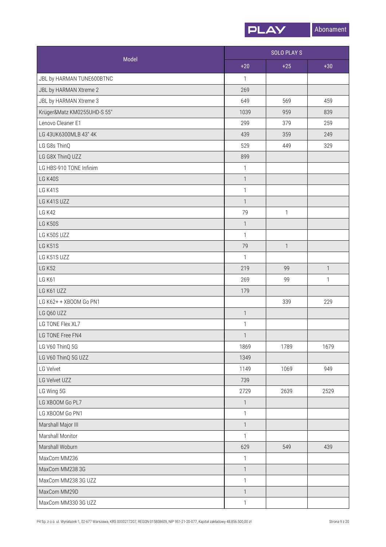

|                             |                           | <b>SOLO PLAY S</b> |              |  |
|-----------------------------|---------------------------|--------------------|--------------|--|
| Model                       | $+20$                     | $+25$              | $+30$        |  |
| JBL by HARMAN TUNE600BTNC   | $\mathbf{1}$              |                    |              |  |
| JBL by HARMAN Xtreme 2      | 269                       |                    |              |  |
| JBL by HARMAN Xtreme 3      | 649                       | 569                | 459          |  |
| Krüger&Matz KM0255UHD-S 55" | 1039                      | 959                | 839          |  |
| Lenovo Cleaner E1           | 299                       | 379                | 259          |  |
| LG 43UK6300MLB 43" 4K       | 439                       | 359                | 249          |  |
| LG G8s ThinQ                | 529                       | 449                | 329          |  |
| LG G8X ThinQ UZZ            | 899                       |                    |              |  |
| LG HBS-910 TONE Infinim     | $\mathbf{1}$              |                    |              |  |
| LG K40S                     | $\mathbf{1}$              |                    |              |  |
| LG K41S                     | $\mathbf{1}$              |                    |              |  |
| LG K41S UZZ                 | $\mathbf{1}$              |                    |              |  |
| <b>LG K42</b>               | 79                        | $\mathbf{1}$       |              |  |
| <b>LG K50S</b>              | $\ensuremath{\mathsf{1}}$ |                    |              |  |
| LG K50S UZZ                 | $\mathbf{1}$              |                    |              |  |
| LG K51S                     | 79                        | $\mathbf{1}$       |              |  |
| LG K51S UZZ                 | $\mathbf{1}$              |                    |              |  |
| <b>LG K52</b>               | 219                       | 99                 | $\mathbf{1}$ |  |
| <b>LG K61</b>               | 269                       | 99                 | $\mathbf{1}$ |  |
| LG K61 UZZ                  | 179                       |                    |              |  |
| LG K62+ + XBOOM Go PN1      |                           | 339                | 229          |  |
| LG Q60 UZZ                  | $\mathbf{1}$              |                    |              |  |
| LG TONE Flex XL7            | $\mathbf{1}$              |                    |              |  |
| LG TONE Free FN4            | 1                         |                    |              |  |
| LG V60 ThinQ 5G             | 1869                      | 1789               | 1679         |  |
| LG V60 ThinQ 5G UZZ         | 1349                      |                    |              |  |
| LG Velvet                   | 1149                      | 1069               | 949          |  |
| LG Velvet UZZ               | 739                       |                    |              |  |
| LG Wing 5G                  | 2729                      | 2639               | 2529         |  |
| LG XBOOM Go PL7             | $\overline{\phantom{a}}$  |                    |              |  |
| LG XBOOM Go PN1             | $\mathbf{1}$              |                    |              |  |
| Marshall Major III          | $\mathbf{1}$              |                    |              |  |
| Marshall Monitor            | $\mathbf{1}$              |                    |              |  |
| Marshall Woburn             | 629                       | 549                | 439          |  |
| MaxCom MM236                | $\mathbf{1}$              |                    |              |  |
| MaxCom MM238 3G             | $\mathbf{1}$              |                    |              |  |
| MaxCom MM238 3G UZZ         | $\mathbf{1}$              |                    |              |  |
| MaxCom MM29D                | $\mathbf{1}$              |                    |              |  |
| MaxCom MM330 3G UZZ         | $\mathbf{1}$              |                    |              |  |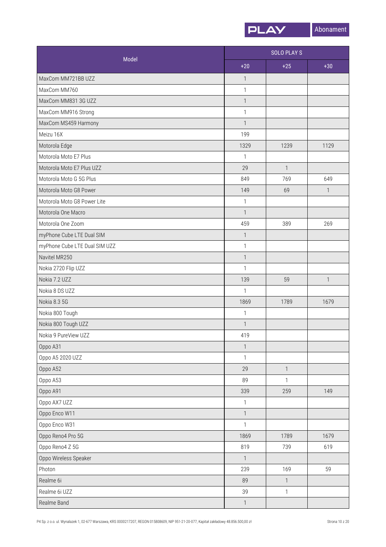

|                               |                           | <b>SOLO PLAYS</b>        |              |  |
|-------------------------------|---------------------------|--------------------------|--------------|--|
| Model                         | $+20$                     | $+25$                    | $+30$        |  |
| MaxCom MM721BB UZZ            | $\mathbf{1}$              |                          |              |  |
| MaxCom MM760                  | $\mathbf{1}$              |                          |              |  |
| MaxCom MM831 3G UZZ           | $\mathbf{1}$              |                          |              |  |
| MaxCom MM916 Strong           | $\mathbf{1}$              |                          |              |  |
| MaxCom MS459 Harmony          | $\mathbf{1}$              |                          |              |  |
| Meizu 16X                     | 199                       |                          |              |  |
| Motorola Edge                 | 1329                      | 1239                     | 1129         |  |
| Motorola Moto E7 Plus         | 1                         |                          |              |  |
| Motorola Moto E7 Plus UZZ     | 29                        | $\overline{\phantom{a}}$ |              |  |
| Motorola Moto G 5G Plus       | 849                       | 769                      | 649          |  |
| Motorola Moto G8 Power        | 149                       | 69                       | $\mathbf{1}$ |  |
| Motorola Moto G8 Power Lite   | $\ensuremath{\mathsf{1}}$ |                          |              |  |
| Motorola One Macro            | $\mathbf{1}$              |                          |              |  |
| Motorola One Zoom             | 459                       | 389                      | 269          |  |
| myPhone Cube LTE Dual SIM     | $\mathbf{1}$              |                          |              |  |
| myPhone Cube LTE Dual SIM UZZ | $\ensuremath{\mathsf{1}}$ |                          |              |  |
| Navitel MR250                 | $\mathbf{1}$              |                          |              |  |
| Nokia 2720 Flip UZZ           | $\mathbf{1}$              |                          |              |  |
| Nokia 7.2 UZZ                 | 139                       | 59                       | $\mathbf{1}$ |  |
| Nokia 8 DS UZZ                | $\mathbf{1}$              |                          |              |  |
| Nokia 8.3 5G                  | 1869                      | 1789                     | 1679         |  |
| Nokia 800 Tough               | $\mathbf{1}$              |                          |              |  |
| Nokia 800 Tough UZZ           | $\mathbf{1}$              |                          |              |  |
| Nokia 9 PureView UZZ          | 419                       |                          |              |  |
| Oppo A31                      | $\ensuremath{\mathsf{1}}$ |                          |              |  |
| Oppo A5 2020 UZZ              | $\mathbf{1}$              |                          |              |  |
| Oppo A52                      | 29                        | $\mathbf{1}$             |              |  |
| Oppo A53                      | 89                        | 1                        |              |  |
| Oppo A91                      | 339                       | 259                      | 149          |  |
| Oppo AX7 UZZ                  | $\mathbf{1}$              |                          |              |  |
| Oppo Enco W11                 | $\mathbf{1}$              |                          |              |  |
| Oppo Enco W31                 | $\mathbf{1}$              |                          |              |  |
| Oppo Reno4 Pro 5G             | 1869                      | 1789                     | 1679         |  |
| Oppo Reno4 Z 5G               | 819                       | 739                      | 619          |  |
| Oppo Wireless Speaker         | $\overline{1}$            |                          |              |  |
| Photon                        | 239                       | 169                      | 59           |  |
| Realme 6i                     | 89                        | $\mathbf{1}$             |              |  |
| Realme 6i UZZ                 | 39                        | 1                        |              |  |
| Realme Band                   | $\mathbf{1}$              |                          |              |  |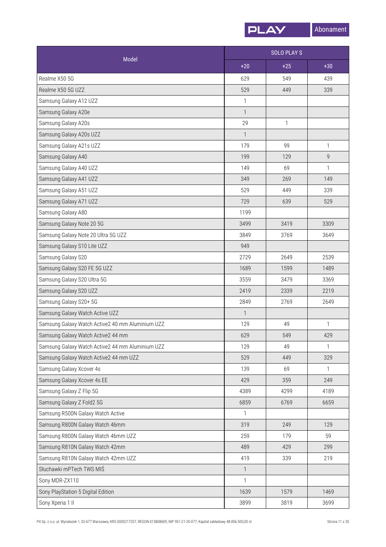

| Model                                            |              | <b>SOLO PLAY S</b> |              |  |
|--------------------------------------------------|--------------|--------------------|--------------|--|
|                                                  | $+20$        | $+25$              | $+30$        |  |
| Realme X50 5G                                    | 629          | 549                | 439          |  |
| Realme X50 5G UZZ                                | 529          | 449                | 339          |  |
| Samsung Galaxy A12 UZZ                           | 1            |                    |              |  |
| Samsung Galaxy A20e                              | $\mathbf{1}$ |                    |              |  |
| Samsung Galaxy A20s                              | 29           | 1                  |              |  |
| Samsung Galaxy A20s UZZ                          | $\mathbf{1}$ |                    |              |  |
| Samsung Galaxy A21s UZZ                          | 179          | 99                 | 1            |  |
| Samsung Galaxy A40                               | 199          | 129                | 9            |  |
| Samsung Galaxy A40 UZZ                           | 149          | 69                 | 1            |  |
| Samsung Galaxy A41 UZZ                           | 349          | 269                | 149          |  |
| Samsung Galaxy A51 UZZ                           | 529          | 449                | 339          |  |
| Samsung Galaxy A71 UZZ                           | 729          | 639                | 529          |  |
| Samsung Galaxy A80                               | 1199         |                    |              |  |
| Samsung Galaxy Note 20 5G                        | 3499         | 3419               | 3309         |  |
| Samsung Galaxy Note 20 Ultra 5G UZZ              | 3849         | 3769               | 3649         |  |
| Samsung Galaxy S10 Lite UZZ                      | 949          |                    |              |  |
| Samsung Galaxy S20                               | 2729         | 2649               | 2539         |  |
| Samsung Galaxy S20 FE 5G UZZ                     | 1689         | 1599               | 1489         |  |
| Samsung Galaxy S20 Ultra 5G                      | 3559         | 3479               | 3369         |  |
| Samsung Galaxy S20 UZZ                           | 2419         | 2339               | 2219         |  |
| Samsung Galaxy S20+ 5G                           | 2849         | 2769               | 2649         |  |
| Samsung Galaxy Watch Active UZZ                  | $\mathbf{1}$ |                    |              |  |
| Samsung Galaxy Watch Active2 40 mm Aluminium UZZ | 129          | 49                 | 1            |  |
| Samsung Galaxy Watch Active2 44 mm               | 629          | 549                | 429          |  |
| Samsung Galaxy Watch Active2 44 mm Aluminium UZZ | 129          | 49                 | 1            |  |
| Samsung Galaxy Watch Active2 44 mm UZZ           | 529          | 449                | 329          |  |
| Samsung Galaxy Xcover 4s                         | 139          | 69                 | $\mathbf{1}$ |  |
| Samsung Galaxy Xcover 4s EE                      | 429          | 359                | 249          |  |
| Samsung Galaxy Z Flip 5G                         | 4389         | 4299               | 4189         |  |
| Samsung Galaxy Z Fold2 5G                        | 6859         | 6769               | 6659         |  |
| Samsung R500N Galaxy Watch Active                | 1            |                    |              |  |
| Samsung R800N Galaxy Watch 46mm                  | 319          | 249                | 129          |  |
| Samsung R800N Galaxy Watch 46mm UZZ              | 259          | 179                | 59           |  |
| Samsung R810N Galaxy Watch 42mm                  | 489          | 429                | 299          |  |
| Samsung R810N Galaxy Watch 42mm UZZ              | 419          | 339                | 219          |  |
| Słuchawki mPTech TWS MIŚ                         | $\mathbf{1}$ |                    |              |  |
| Sony MDR-ZX110                                   | $\mathbf{1}$ |                    |              |  |
| Sony PlayStation 5 Digital Edition               | 1639         | 1579               | 1469         |  |
| Sony Xperia 1 II                                 | 3899         | 3819               | 3699         |  |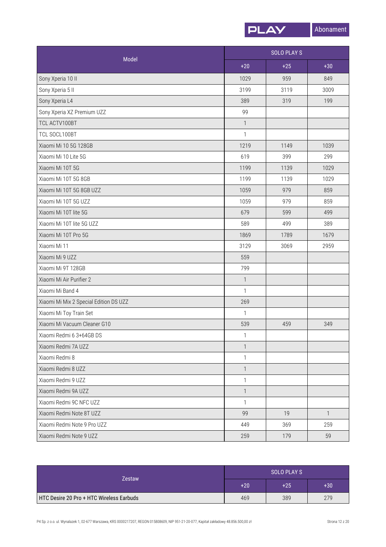

| Model                                  | <b>SOLO PLAYS</b> |       |              |
|----------------------------------------|-------------------|-------|--------------|
|                                        | $+20$             | $+25$ | $+30$        |
| Sony Xperia 10 II                      | 1029              | 959   | 849          |
| Sony Xperia 5 II                       | 3199              | 3119  | 3009         |
| Sony Xperia L4                         | 389               | 319   | 199          |
| Sony Xperia XZ Premium UZZ             | 99                |       |              |
| TCL ACTV100BT                          | $\mathbf{1}$      |       |              |
| TCL SOCL100BT                          | $\mathbf{1}$      |       |              |
| Xiaomi Mi 10 5G 128GB                  | 1219              | 1149  | 1039         |
| Xiaomi Mi 10 Lite 5G                   | 619               | 399   | 299          |
| Xiaomi Mi 10T 5G                       | 1199              | 1139  | 1029         |
| Xiaomi Mi 10T 5G 8GB                   | 1199              | 1139  | 1029         |
| Xiaomi Mi 10T 5G 8GB UZZ               | 1059              | 979   | 859          |
| Xiaomi Mi 10T 5G UZZ                   | 1059              | 979   | 859          |
| Xiaomi Mi 10T lite 5G                  | 679               | 599   | 499          |
| Xiaomi Mi 10T lite 5G UZZ              | 589               | 499   | 389          |
| Xiaomi Mi 10T Pro 5G                   | 1869              | 1789  | 1679         |
| Xiaomi Mi 11                           | 3129              | 3069  | 2959         |
| Xiaomi Mi 9 UZZ                        | 559               |       |              |
| Xiaomi Mi 9T 128GB                     | 799               |       |              |
| Xiaomi Mi Air Purifier 2               | $\mathbf{1}$      |       |              |
| Xiaomi Mi Band 4                       | $\mathbf{1}$      |       |              |
| Xiaomi Mi Mix 2 Special Edition DS UZZ | 269               |       |              |
| Xiaomi Mi Toy Train Set                | $\mathbf{1}$      |       |              |
| Xiaomi Mi Vacuum Cleaner G10           | 539               | 459   | 349          |
| Xiaomi Redmi 6 3+64GB DS               | $\mathbf{1}$      |       |              |
| Xiaomi Redmi 7A UZZ                    | $\mathbf{1}$      |       |              |
| Xiaomi Redmi 8                         | $\mathbf{1}$      |       |              |
| Xiaomi Redmi 8 UZZ                     | $\mathbf{1}$      |       |              |
| Xiaomi Redmi 9 UZZ                     | $\mathbf{1}$      |       |              |
| Xiaomi Redmi 9A UZZ                    | $\mathbf{1}$      |       |              |
| Xiaomi Redmi 9C NFC UZZ                | $\mathbf{1}$      |       |              |
| Xiaomi Redmi Note 8T UZZ               | 99                | 19    | $\mathbf{1}$ |
| Xiaomi Redmi Note 9 Pro UZZ            | 449               | 369   | 259          |
| Xiaomi Redmi Note 9 UZZ                | 259               | 179   | 59           |

| <b>Zestaw</b>                                   | SOLO PLAY S |       |       |
|-------------------------------------------------|-------------|-------|-------|
|                                                 | $+20$       | $+25$ | $+30$ |
| <b>HTC Desire 20 Pro + HTC Wireless Earbuds</b> | 469         | 389   | 279   |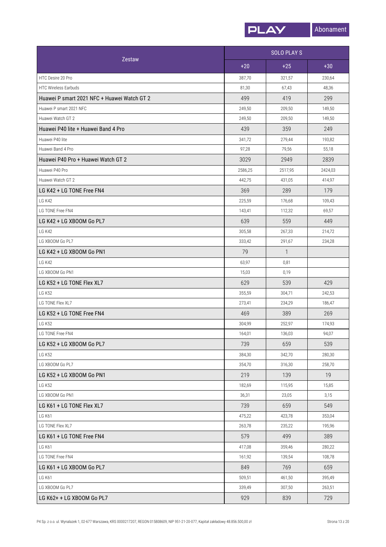

| Zestaw                                      |         | <b>SOLO PLAYS</b> |         |
|---------------------------------------------|---------|-------------------|---------|
|                                             | $+20$   | $+25$             | $+30$   |
| HTC Desire 20 Pro                           | 387,70  | 321,57            | 230,64  |
| <b>HTC Wireless Earbuds</b>                 | 81,30   | 67,43             | 48,36   |
| Huawei P smart 2021 NFC + Huawei Watch GT 2 | 499     | 419               | 299     |
| Huawei P smart 2021 NFC                     | 249,50  | 209,50            | 149,50  |
| Huawei Watch GT 2                           | 249,50  | 209,50            | 149,50  |
| Huawei P40 lite + Huawei Band 4 Pro         | 439     | 359               | 249     |
| Huawei P40 lite                             | 341,72  | 279,44            | 193,82  |
| Huawei Band 4 Pro                           | 97,28   | 79,56             | 55,18   |
| Huawei P40 Pro + Huawei Watch GT 2          | 3029    | 2949              | 2839    |
| Huawei P40 Pro                              | 2586,25 | 2517,95           | 2424,03 |
| Huawei Watch GT 2                           | 442,75  | 431,05            | 414,97  |
| LG K42 + LG TONE Free FN4                   | 369     | 289               | 179     |
| <b>LG K42</b>                               | 225,59  | 176,68            | 109,43  |
| <b>I G TONE Free FN4</b>                    | 143,41  | 112,32            | 69,57   |
| LG K42 + LG XBOOM Go PL7                    | 639     | 559               | 449     |
| LG K42                                      | 305,58  | 267,33            | 214,72  |
| LG XBOOM Go PL7                             | 333,42  | 291,67            | 234,28  |
| LG K42 + LG XBOOM Go PN1                    | 79      | $\mathbf{1}$      |         |
| LG K42                                      | 63,97   | 0,81              |         |
| LG XBOOM Go PN1                             | 15,03   | 0,19              |         |
| LG K52 + LG TONE Flex XL7                   | 629     | 539               | 429     |
| <b>LG K52</b>                               | 355,59  | 304,71            | 242,53  |
| LG TONE Flex XL7                            | 273,41  | 234,29            | 186,47  |
| LG K52 + LG TONE Free FN4                   | 469     | 389               | 269     |
| <b>LG K52</b>                               | 304,99  | 252,97            | 174,93  |
| LG TONE Free FN4                            | 164,01  | 136,03            | 94,07   |
| LG K52 + LG XBOOM Go PL7                    | 739     | 659               | 539     |
| <b>LG K52</b>                               | 384,30  | 342,70            | 280,30  |
| LG XBOOM Go PL7                             | 354,70  | 316,30            | 258,70  |
| LG K52 + LG XBOOM Go PN1                    | 219     | 139               | 19      |
| <b>LG K52</b>                               | 182,69  | 115,95            | 15,85   |
| LG XBOOM Go PN1                             | 36,31   | 23,05             | 3,15    |
| LG K61 + LG TONE Flex XL7                   | 739     | 659               | 549     |
| LG K61                                      | 475,22  | 423,78            | 353,04  |
| LG TONE Flex XL7                            | 263,78  | 235,22            | 195,96  |
| LG K61 + LG TONE Free FN4                   | 579     | 499               | 389     |
| LG K61                                      | 417,08  | 359,46            | 280,22  |
| LG TONE Free FN4                            | 161,92  | 139,54            | 108,78  |
| LG K61 + LG XBOOM Go PL7                    | 849     | 769               | 659     |
| LG K61                                      | 509,51  | 461,50            | 395,49  |
| LG XBOOM Go PL7                             | 339,49  | 307,50            | 263,51  |
| LG K62+ + LG XB00M Go PL7                   | 929     | 839               | 729     |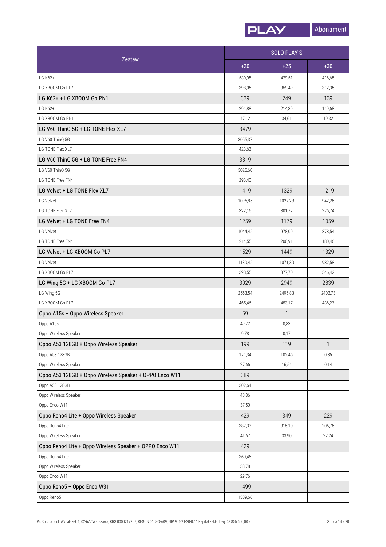

|                                                         |         | <b>SOLO PLAYS</b> |              |
|---------------------------------------------------------|---------|-------------------|--------------|
| Zestaw                                                  | $+20$   | $+25$             | $+30$        |
| LG K62+                                                 | 530,95  | 479,51            | 416,65       |
| LG XBOOM Go PL7                                         | 398,05  | 359,49            | 312,35       |
| LG K62+ + LG XBOOM Go PN1                               | 339     | 249               | 139          |
| LG K62+                                                 | 291,88  | 214,39            | 119,68       |
| LG XBOOM Go PN1                                         | 47,12   | 34,61             | 19,32        |
| LG V60 ThinQ 5G + LG TONE Flex XL7                      | 3479    |                   |              |
| LG V60 ThinQ 5G                                         | 3055,37 |                   |              |
| LG TONE Flex XL7                                        | 423,63  |                   |              |
| LG V60 ThinQ 5G + LG TONE Free FN4                      | 3319    |                   |              |
| LG V60 ThinQ 5G                                         | 3025,60 |                   |              |
| LG TONE Free FN4                                        | 293,40  |                   |              |
| LG Velvet + LG TONE Flex XL7                            | 1419    | 1329              | 1219         |
| LG Velvet                                               | 1096,85 | 1027,28           | 942,26       |
| LG TONE Flex XL7                                        | 322,15  | 301,72            | 276,74       |
| LG Velvet + LG TONE Free FN4                            | 1259    | 1179              | 1059         |
| LG Velvet                                               | 1044,45 | 978,09            | 878,54       |
| LG TONE Free FN4                                        | 214,55  | 200,91            | 180,46       |
| LG Velvet + LG XBOOM Go PL7                             | 1529    | 1449              | 1329         |
| LG Velvet                                               | 1130,45 | 1071,30           | 982,58       |
| LG XBOOM Go PL7                                         | 398,55  | 377,70            | 346,42       |
| LG Wing 5G + LG XBOOM Go PL7                            | 3029    | 2949              | 2839         |
| LG Wing 5G                                              | 2563,54 | 2495,83           | 2402,73      |
| LG XBOOM Go PL7                                         | 465,46  | 453.17            | 436,27       |
| Oppo A15s + Oppo Wireless Speaker                       | 59      | $\mathbf{1}$      |              |
| Oppo A15s                                               | 49,22   | 0,83              |              |
| Oppo Wireless Speaker                                   | 9,78    | 0,17              |              |
| Oppo A53 128GB + Oppo Wireless Speaker                  | 199     | 119               | $\mathbf{1}$ |
| Oppo A53 128GB                                          | 171,34  | 102,46            | 0,86         |
| Oppo Wireless Speaker                                   | 27,66   | 16,54             | 0,14         |
| Oppo A53 128GB + Oppo Wireless Speaker + OPPO Enco W11  | 389     |                   |              |
| Oppo A53 128GB                                          | 302,64  |                   |              |
| Oppo Wireless Speaker                                   | 48,86   |                   |              |
| Oppo Enco W11                                           | 37,50   |                   |              |
| Oppo Reno4 Lite + Oppo Wireless Speaker                 | 429     | 349               | 229          |
| Oppo Reno4 Lite                                         | 387,33  | 315,10            | 206,76       |
| Oppo Wireless Speaker                                   | 41,67   | 33,90             | 22,24        |
| Oppo Reno4 Lite + Oppo Wireless Speaker + OPPO Enco W11 | 429     |                   |              |
| Oppo Reno4 Lite                                         | 360,46  |                   |              |
| Oppo Wireless Speaker                                   | 38,78   |                   |              |
| Oppo Enco W11                                           | 29,76   |                   |              |
| Oppo Reno5 + Oppo Enco W31                              | 1499    |                   |              |
| Oppo Reno5                                              | 1309,66 |                   |              |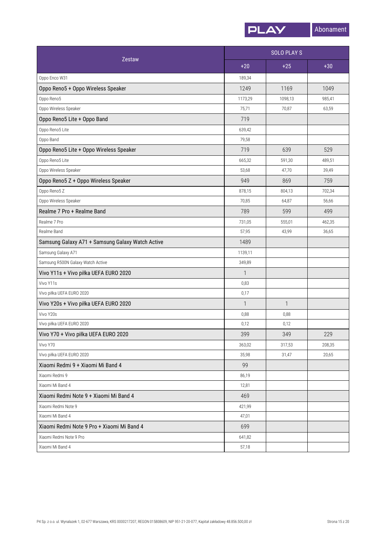

|                                                  | <b>SOLO PLAYS</b> |         |        |
|--------------------------------------------------|-------------------|---------|--------|
| <b>Zestaw</b>                                    | $+20$             | $+25$   | $+30$  |
| Oppo Enco W31                                    | 189,34            |         |        |
| Oppo Reno5 + Oppo Wireless Speaker               | 1249              | 1169    | 1049   |
| Oppo Reno5                                       | 1173,29           | 1098,13 | 985,41 |
| Oppo Wireless Speaker                            | 75,71             | 70,87   | 63,59  |
| Oppo Reno5 Lite + Oppo Band                      | 719               |         |        |
| Oppo Reno5 Lite                                  | 639,42            |         |        |
| Oppo Band                                        | 79,58             |         |        |
| Oppo Reno5 Lite + Oppo Wireless Speaker          | 719               | 639     | 529    |
| Oppo Reno5 Lite                                  | 665,32            | 591,30  | 489,51 |
| Oppo Wireless Speaker                            | 53,68             | 47,70   | 39,49  |
| Oppo Reno5 Z + Oppo Wireless Speaker             | 949               | 869     | 759    |
| Oppo Reno5 Z                                     | 878,15            | 804,13  | 702,34 |
| Oppo Wireless Speaker                            | 70,85             | 64,87   | 56,66  |
| Realme 7 Pro + Realme Band                       | 789               | 599     | 499    |
| Realme 7 Pro                                     | 731,05            | 555,01  | 462,35 |
| Realme Band                                      | 57,95             | 43,99   | 36,65  |
| Samsung Galaxy A71 + Samsung Galaxy Watch Active | 1489              |         |        |
| Samsung Galaxy A71                               | 1139,11           |         |        |
| Samsung R500N Galaxy Watch Active                | 349,89            |         |        |
| Vivo Y11s + Vivo piłka UEFA EURO 2020            | $\mathbf{1}$      |         |        |
| Vivo Y11s                                        | 0,83              |         |        |
| Vivo piłka UEFA EURO 2020                        | 0,17              |         |        |
| Vivo Y20s + Vivo piłka UEFA EURO 2020            | $\mathbf{1}$      | 1       |        |
| Vivo Y20s                                        | 0,88              | 0,88    |        |
| Vivo piłka UEFA EURO 2020                        | 0,12              | 0,12    |        |
| Vivo Y70 + Vivo piłka UEFA EURO 2020             | 399               | 349     | 229    |
| Vivo Y70                                         | 363,02            | 317,53  | 208,35 |
| Vivo piłka UEFA EURO 2020                        | 35,98             | 31,47   | 20,65  |
| Xiaomi Redmi 9 + Xiaomi Mi Band 4                | 99                |         |        |
| Xiaomi Redmi 9                                   | 86,19             |         |        |
| Xiaomi Mi Band 4                                 | 12,81             |         |        |
| Xiaomi Redmi Note 9 + Xiaomi Mi Band 4           | 469               |         |        |
| Xiaomi Redmi Note 9                              | 421,99            |         |        |
| Xiaomi Mi Band 4                                 | 47,01             |         |        |
| Xiaomi Redmi Note 9 Pro + Xiaomi Mi Band 4       | 699               |         |        |
| Xiaomi Redmi Note 9 Pro                          | 641,82            |         |        |
| Xiaomi Mi Band 4                                 | 57,18             |         |        |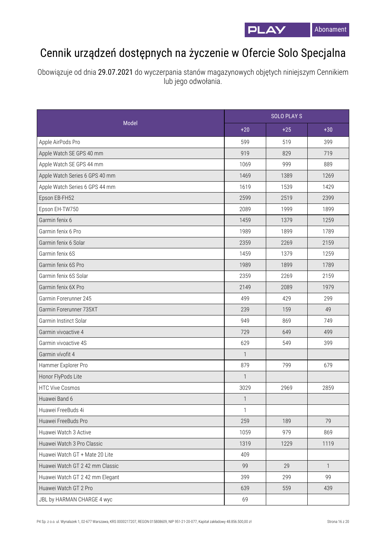

## Cennik urządzeń dostępnych na życzenie w Ofercie Solo Specjalna

Obowiązuje od dnia 29.07.2021 do wyczerpania stanów magazynowych objętych niniejszym Cennikiem lub jego odwołania.

|                                 |              | <b>SOLO PLAYS</b> |              |  |
|---------------------------------|--------------|-------------------|--------------|--|
| Model                           | $+20$        | $+25$             | $+30$        |  |
| Apple AirPods Pro               | 599          | 519               | 399          |  |
| Apple Watch SE GPS 40 mm        | 919          | 829               | 719          |  |
| Apple Watch SE GPS 44 mm        | 1069         | 999               | 889          |  |
| Apple Watch Series 6 GPS 40 mm  | 1469         | 1389              | 1269         |  |
| Apple Watch Series 6 GPS 44 mm  | 1619         | 1539              | 1429         |  |
| Epson EB-FH52                   | 2599         | 2519              | 2399         |  |
| Epson EH-TW750                  | 2089         | 1999              | 1899         |  |
| Garmin fenix 6                  | 1459         | 1379              | 1259         |  |
| Garmin fenix 6 Pro              | 1989         | 1899              | 1789         |  |
| Garmin fenix 6 Solar            | 2359         | 2269              | 2159         |  |
| Garmin fenix 6S                 | 1459         | 1379              | 1259         |  |
| Garmin fenix 6S Pro             | 1989         | 1899              | 1789         |  |
| Garmin fenix 6S Solar           | 2359         | 2269              | 2159         |  |
| Garmin fenix 6X Pro             | 2149         | 2089              | 1979         |  |
| Garmin Forerunner 245           | 499          | 429               | 299          |  |
| Garmin Forerunner 735XT         | 239          | 159               | 49           |  |
| Garmin Instinct Solar           | 949          | 869               | 749          |  |
| Garmin vivoactive 4             | 729          | 649               | 499          |  |
| Garmin vivoactive 4S            | 629          | 549               | 399          |  |
| Garmin vívofit 4                | 1            |                   |              |  |
| Hammer Explorer Pro             | 879          | 799               | 679          |  |
| Honor FlyPods Lite              | $\mathbf{1}$ |                   |              |  |
| <b>HTC Vive Cosmos</b>          | 3029         | 2969              | 2859         |  |
| Huawei Band 6                   | $\mathbf{1}$ |                   |              |  |
| Huawei FreeBuds 4i              | $\mathbf{1}$ |                   |              |  |
| Huawei FreeBuds Pro             | 259          | 189               | 79           |  |
| Huawei Watch 3 Active           | 1059         | 979               | 869          |  |
| Huawei Watch 3 Pro Classic      | 1319         | 1229              | 1119         |  |
| Huawei Watch GT + Mate 20 Lite  | 409          |                   |              |  |
| Huawei Watch GT 2 42 mm Classic | 99           | 29                | $\mathbf{1}$ |  |
| Huawei Watch GT 2 42 mm Elegant | 399          | 299               | 99           |  |
| Huawei Watch GT 2 Pro           | 639          | 559               | 439          |  |
| JBL by HARMAN CHARGE 4 wyc      | 69           |                   |              |  |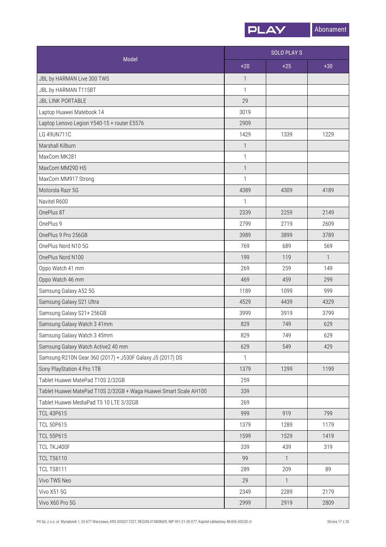

|                                                                   | <b>SOLO PLAY S</b> |                |              |
|-------------------------------------------------------------------|--------------------|----------------|--------------|
| Model                                                             | $+20$              | $+25$          | $+30$        |
| JBL by HARMAN Live 300 TWS                                        | $\mathbf{1}$       |                |              |
| JBL by HARMAN T115BT                                              | $\mathbf{1}$       |                |              |
| <b>JBL LINK PORTABLE</b>                                          | 29                 |                |              |
| Laptop Huawei Matebook 14                                         | 3019               |                |              |
| Laptop Lenovo Legion Y540-15 + router E5576                       | 2909               |                |              |
| LG 49UN711C                                                       | 1429               | 1339           | 1229         |
| Marshall Kilburn                                                  | $\mathbf{1}$       |                |              |
| MaxCom MK281                                                      | $\mathbf{1}$       |                |              |
| MaxCom MM29D HS                                                   | $\mathbf{1}$       |                |              |
| MaxCom MM917 Strong                                               | 1                  |                |              |
| Motorola Razr 5G                                                  | 4389               | 4309           | 4189         |
| Navitel R600                                                      | $\mathbf{1}$       |                |              |
| OnePlus 8T                                                        | 2339               | 2259           | 2149         |
| OnePlus 9                                                         | 2799               | 2719           | 2609         |
| OnePlus 9 Pro 256GB                                               | 3989               | 3899           | 3789         |
| OnePlus Nord N10 5G                                               | 769                | 689            | 569          |
| OnePlus Nord N100                                                 | 199                | 119            | $\mathbf{1}$ |
| Oppo Watch 41 mm                                                  | 269                | 259            | 149          |
| Oppo Watch 46 mm                                                  | 469                | 459            | 299          |
| Samsung Galaxy A52 5G                                             | 1189               | 1099           | 999          |
| Samsung Galaxy S21 Ultra                                          | 4529               | 4439           | 4329         |
| Samsung Galaxy S21+ 256GB                                         | 3999               | 3919           | 3799         |
| Samsung Galaxy Watch 3 41mm                                       | 829                | 749            | 629          |
| Samsung Galaxy Watch 3 45mm                                       | 829                | 749            | 629          |
| Samsung Galaxy Watch Active2 40 mm                                | 629                | 549            | 429          |
| Samsung R210N Gear 360 (2017) + J530F Galaxy J5 (2017) DS         | $\mathbf{1}$       |                |              |
| Sony PlayStation 4 Pro 1TB                                        | 1379               | 1299           | 1199         |
| Tablet Huawei MatePad T10S 2/32GB                                 | 259                |                |              |
| Tablet Huawei MatePad T10S 2/32GB + Waga Huawei Smart Scale AH100 | 339                |                |              |
| Tablet Huawei MediaPad T5 10 LTE 3/32GB                           | 269                |                |              |
| <b>TCL 43P615</b>                                                 | 999                | 919            | 799          |
| <b>TCL 50P615</b>                                                 | 1379               | 1289           | 1179         |
| <b>TCL 55P615</b>                                                 | 1599               | 1529           | 1419         |
| TCL TKJ400F                                                       | 339                | 439            | 319          |
| <b>TCL TS6110</b>                                                 | 99                 | $\overline{1}$ |              |
| <b>TCL TS8111</b>                                                 | 289                | 209            | 89           |
| Vivo TWS Neo                                                      | 29                 | $\mathbf{1}$   |              |
| Vivo X51 5G                                                       | 2349               | 2289           | 2179         |
| Vivo X60 Pro 5G                                                   | 2999               | 2919           | 2809         |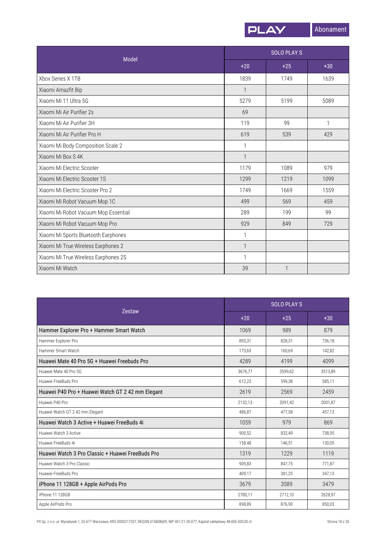

|                                      |              | <b>SOLO PLAYS</b> |       |  |
|--------------------------------------|--------------|-------------------|-------|--|
| Model                                | $+20$        | $+25$             | $+30$ |  |
| Xbox Series X 1TB                    | 1839         | 1749              | 1639  |  |
| Xiaomi Amazfit Bip                   | $\mathbf{1}$ |                   |       |  |
| Xiaomi Mi 11 Ultra 5G                | 5279         | 5199              | 5089  |  |
| Xiaomi Mi Air Purifier 2s            | 69           |                   |       |  |
| Xiaomi Mi Air Purifier 3H            | 119          | 99                | 1     |  |
| Xiaomi Mi Air Purifier Pro H         | 619          | 539               | 429   |  |
| Xiaomi Mi Body Composition Scale 2   | 1            |                   |       |  |
| Xiaomi Mi Box S 4K                   | $\mathbf{1}$ |                   |       |  |
| Xiaomi Mi Electric Scooter           | 1179         | 1089              | 979   |  |
| Xiaomi Mi Electric Scooter 1S        | 1299         | 1219              | 1099  |  |
| Xiaomi Mi Electric Scooter Pro 2     | 1749         | 1669              | 1559  |  |
| Xiaomi Mi Robot Vacuum Mop 1C        | 499          | 569               | 459   |  |
| Xiaomi Mi Robot Vacuum Mop Essential | 289          | 199               | 99    |  |
| Xiaomi Mi Robot Vacuum Mop Pro       | 929          | 849               | 729   |  |
| Xiaomi Mi Sports Bluetooth Earphones | 1            |                   |       |  |
| Xiaomi Mi True Wireless Earphones 2  | $\mathbf{1}$ |                   |       |  |
| Xiaomi Mi True Wireless Earphones 2S | $\mathbf{1}$ |                   |       |  |
| Xiaomi Mi Watch                      | 39           |                   |       |  |

| Zestaw                                           |         | <b>SOLO PLAYS</b> |         |  |  |
|--------------------------------------------------|---------|-------------------|---------|--|--|
|                                                  | $+20$   | $+25$             | $+30$   |  |  |
| Hammer Explorer Pro + Hammer Smart Watch         | 1069    | 989               | 879     |  |  |
| Hammer Explorer Pro                              | 895,31  | 828.31            | 736,18  |  |  |
| Hammer Smart Watch                               | 173.69  | 160.69            | 142,82  |  |  |
| Huawei Mate 40 Pro 5G + Huawei Freebuds Pro      | 4289    | 4199              | 4099    |  |  |
| Huawei Mate 40 Pro 5G                            | 3676,77 | 3599,62           | 3513,89 |  |  |
| Huawei FreeBuds Pro                              | 612.23  | 599.38            | 585.11  |  |  |
| Huawei P40 Pro + Huawei Watch GT 2 42 mm Elegant | 2619    | 2569              | 2459    |  |  |
| Huawei P40 Pro                                   | 2132,13 | 2091,42           | 2001,87 |  |  |
| Huawei Watch GT 2 42 mm Elegant                  | 486,87  | 477.58            | 457.13  |  |  |
| Huawei Watch 3 Active + Huawei FreeBuds 4i       | 1059    | 979               | 869     |  |  |
| Huawei Watch 3 Active                            | 900,52  | 832,49            | 738,95  |  |  |
| Huawei FreeBuds 4i                               | 158,48  | 146,51            | 130,05  |  |  |
| Huawei Watch 3 Pro Classic + Huawei FreeBuds Pro | 1319    | 1229              | 1119    |  |  |
| Huawei Watch 3 Pro Classic                       | 909,83  | 847,75            | 771,87  |  |  |
| Huawei FreeBuds Pro                              | 409,17  | 381,25            | 347,13  |  |  |
| iPhone 11 128GB + Apple AirPods Pro              | 3679    | 3589              | 3479    |  |  |
| iPhone 11 128GB                                  | 2780,11 | 2712,10           | 2628.97 |  |  |
| Apple AirPods Pro                                | 898.89  | 876.90            | 850.03  |  |  |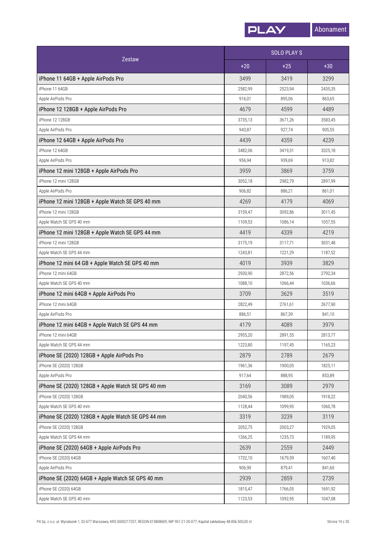

|                                                   |         | <b>SOLO PLAYS</b> |         |
|---------------------------------------------------|---------|-------------------|---------|
| <b>Zestaw</b>                                     | $+20$   | $+25$             | $+30$   |
| iPhone 11 64GB + Apple AirPods Pro                | 3499    | 3419              | 3299    |
| iPhone 11 64GB                                    | 2582,99 | 2523,94           | 2435,35 |
| Apple AirPods Pro                                 | 916,01  | 895,06            | 863,65  |
| iPhone 12 128GB + Apple AirPods Pro               | 4679    | 4599              | 4489    |
| iPhone 12 128GB                                   | 3735,13 | 3671,26           | 3583,45 |
| Apple AirPods Pro                                 | 943,87  | 927,74            | 905,55  |
| iPhone 12 64GB + Apple AirPods Pro                | 4439    | 4359              | 4239    |
| iPhone 12 64GB                                    | 3482,06 | 3419,31           | 3325,18 |
| Apple AirPods Pro                                 | 956,94  | 939,69            | 913,82  |
| iPhone 12 mini 128GB + Apple AirPods Pro          | 3959    | 3869              | 3759    |
| iPhone 12 mini 128GB                              | 3052,18 | 2982,79           | 2897,99 |
| Apple AirPods Pro                                 | 906,82  | 886,21            | 861,01  |
| iPhone 12 mini 128GB + Apple Watch SE GPS 40 mm   | 4269    | 4179              | 4069    |
| iPhone 12 mini 128GB                              | 3159,47 | 3092,86           | 3011,45 |
| Apple Watch SE GPS 40 mm                          | 1109,53 | 1086,14           | 1057,55 |
| iPhone 12 mini 128GB + Apple Watch SE GPS 44 mm   | 4419    | 4339              | 4219    |
| iPhone 12 mini 128GB                              | 3175,19 | 3117,71           | 3031,48 |
| Apple Watch SE GPS 44 mm                          | 1243,81 | 1221,29           | 1187,52 |
| iPhone 12 mini 64 GB + Apple Watch SE GPS 40 mm   | 4019    | 3939              | 3829    |
| iPhone 12 mini 64GB                               | 2930,90 | 2872,56           | 2792,34 |
| Apple Watch SE GPS 40 mm                          | 1088,10 | 1066,44           | 1036,66 |
| iPhone 12 mini 64GB + Apple AirPods Pro           | 3709    | 3629              | 3519    |
| iPhone 12 mini 64GB                               | 2822,49 | 2761,61           | 2677,90 |
| Apple AirPods Pro                                 | 886,51  | 867,39            | 841,10  |
| iPhone 12 mini 64GB + Apple Watch SE GPS 44 mm    | 4179    | 4089              | 3979    |
| iPhone 12 mini 64GB                               | 2955,20 | 2891.55           | 2813,77 |
| Apple Watch SE GPS 44 mm                          | 1223,80 | 1197,45           | 1165,23 |
| iPhone SE (2020) 128GB + Apple AirPods Pro        | 2879    | 2789              | 2679    |
| iPhone SE (2020) 128GB                            | 1961,36 | 1900,05           | 1825,11 |
| Apple AirPods Pro                                 | 917,64  | 888,95            | 853,89  |
| iPhone SE (2020) 128GB + Apple Watch SE GPS 40 mm | 3169    | 3089              | 2979    |
| iPhone SE (2020) 128GB                            | 2040,56 | 1989,05           | 1918,22 |
| Apple Watch SE GPS 40 mm                          | 1128,44 | 1099,95           | 1060,78 |
| iPhone SE (2020) 128GB + Apple Watch SE GPS 44 mm | 3319    | 3239              | 3119    |
| iPhone SE (2020) 128GB                            | 2052,75 | 2003,27           | 1929,05 |
| Apple Watch SE GPS 44 mm                          | 1266,25 | 1235,73           | 1189,95 |
| iPhone SE (2020) 64GB + Apple AirPods Pro         | 2639    | 2559              | 2449    |
| iPhone SE (2020) 64GB                             | 1732,10 | 1679,59           | 1607,40 |
| Apple AirPods Pro                                 | 906,90  | 879,41            | 841,60  |
| iPhone SE (2020) 64GB + Apple Watch SE GPS 40 mm  | 2939    | 2859              | 2739    |
| iPhone SE (2020) 64GB                             | 1815,47 | 1766,05           | 1691,92 |
| Apple Watch SE GPS 40 mm                          | 1123,53 | 1092,95           | 1047,08 |